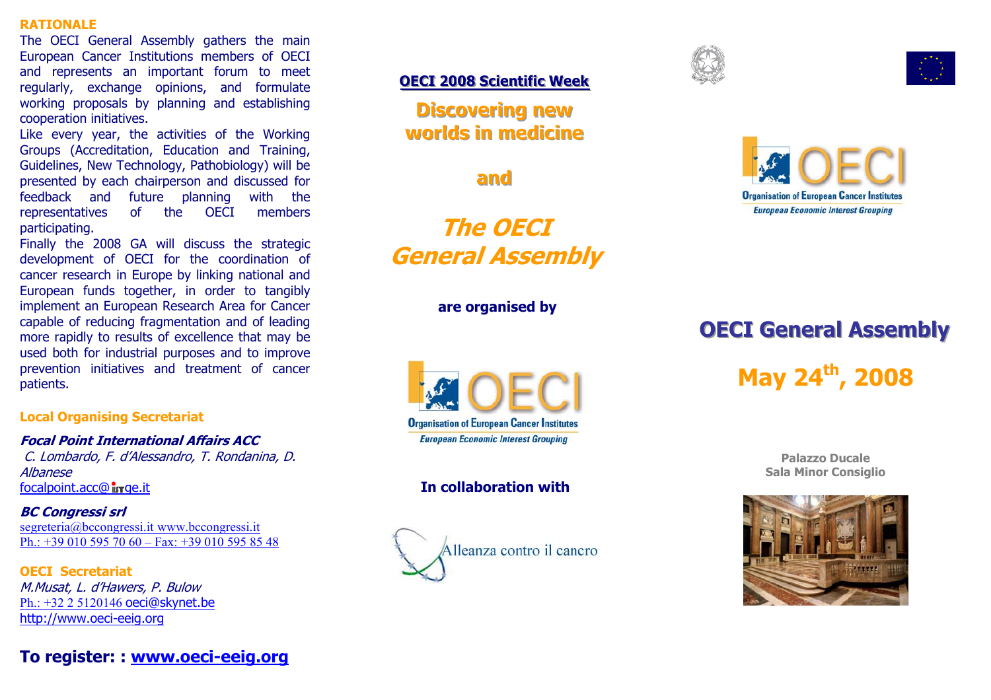#### **RATIONALE**

The OECI General Assembly gathers the main European Cancer Institutions members of OECI and represents an important forum to meet regularly, exchange opinions, and formulate working proposals by planning and establishing cooperation initiatives.

Like every year, the activities of the Working Groups (Accreditation, Education and Training, Guidelines, New Technology, Pathobiology) will be presented by each chairperson and discussed for feedback and future planning with the representatives of the OECI members participating.

Finally the 2008 GA will discuss the strategic development of OECI for the coordination of cancer research in Europe by linking national and European funds together, in order to tangibly implement an European Research Area for Cancer capable of reducing fragmentation and of leading more rapidly to results of excellence that may be used both for industrial purposes and to improve prevention initiatives and treatment of cancer patients.

#### **Local Organising Secretariat**

**Focal Point International Affairs ACC** C. Lombardo, F. d'Alessandro, T. Rondanina, D. Albanese  $focalpoint, acc@$  is rae, it

**BC Congressi srl**  segreteria@bccongressi.it www.bccongressi.it Ph.: +39 010 595 70 60 – Fax: +39 010 595 85 48

**OECI Secretariat** M.Musat, L. d'Hawers, P. Bulow Ph.: +32 2 5120146 oeci@skynet.be http://www.oeci-eeig.org

# **To register: : www.oeci-eeig.org**

#### **OECI 2008 Scientific Week**

**Discovering new worlds in medicine** 

**and** 

**The OECI General Assembly** 

**are organised by** 



## **In collaboration with**









# **OECI General Assembly**

**May 24th, 2008** 

**Palazzo Ducale Sala Minor Consiglio**